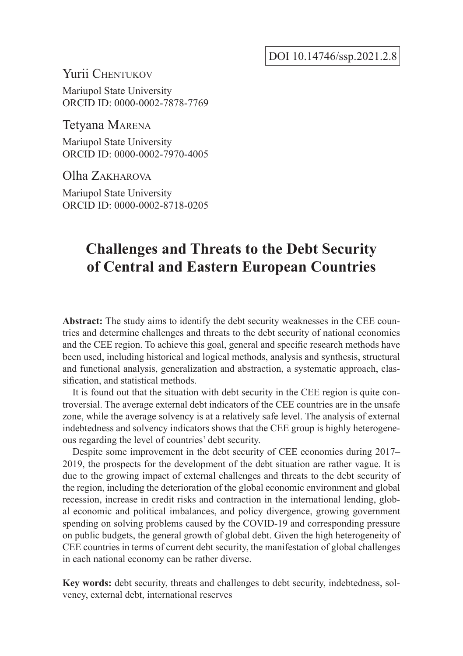DOI 10.14746/ssp.2021.2.8

## Yurii Chentukov

Mariupol State University ORCID ID: 0000-0002-7878-7769

Tetyana Marena

Mariupol State University ORCID ID: 0000-0002-7970-4005

Olha Zakharova

Mariupol State University ORCID ID: 0000-0002-8718-0205

# **Challenges and Threats to the Debt Security of Central and Eastern European Countries**

**Abstract:** The study aims to identify the debt security weaknesses in the CEE countries and determine challenges and threats to the debt security of national economies and the CEE region. To achieve this goal, general and specific research methods have been used, including historical and logical methods, analysis and synthesis, structural and functional analysis, generalization and abstraction, a systematic approach, classification, and statistical methods.

It is found out that the situation with debt security in the CEE region is quite controversial. The average external debt indicators of the CEE countries are in the unsafe zone, while the average solvency is at a relatively safe level. The analysis of external indebtedness and solvency indicators shows that the CEE group is highly heterogeneous regarding the level of countries' debt security.

Despite some improvement in the debt security of CEE economies during 2017– 2019, the prospects for the development of the debt situation are rather vague. It is due to the growing impact of external challenges and threats to the debt security of the region, including the deterioration of the global economic environment and global recession, increase in credit risks and contraction in the international lending, global economic and political imbalances, and policy divergence, growing government spending on solving problems caused by the COVID-19 and corresponding pressure on public budgets, the general growth of global debt. Given the high heterogeneity of CEE countries in terms of current debt security, the manifestation of global challenges in each national economy can be rather diverse.

**Key words:** debt security, threats and challenges to debt security, indebtedness, solvency, external debt, international reserves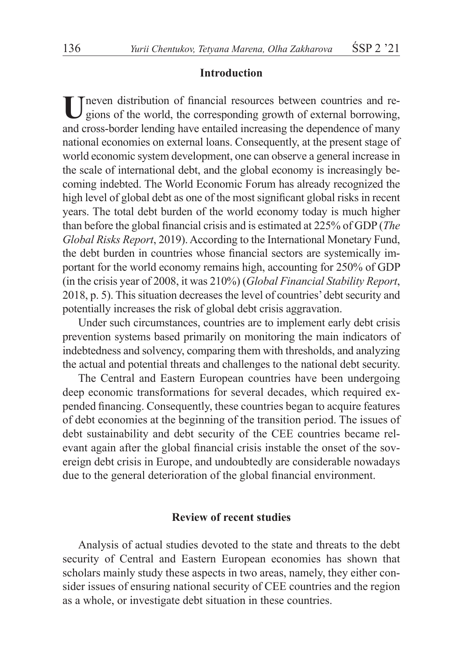#### **Introduction**

Ineven distribution of financial resources between countries and regions of the world, the corresponding growth of external borrowing, and cross-border lending have entailed increasing the dependence of many national economies on external loans. Consequently, at the present stage of world economic system development, one can observe a general increase in the scale of international debt, and the global economy is increasingly becoming indebted. The World Economic Forum has already recognized the high level of global debt as one of the most significant global risks in recent years. The total debt burden of the world economy today is much higher than before the global financial crisis and is estimated at 225% of GDP (*The Global Risks Report*, 2019). According to the International Monetary Fund, the debt burden in countries whose financial sectors are systemically important for the world economy remains high, accounting for 250% of GDP (in the crisis year of 2008, it was 210%) (*Global Financial Stability Report*, 2018, p. 5). This situation decreases the level of countries' debt security and potentially increases the risk of global debt crisis aggravation.

Under such circumstances, countries are to implement early debt crisis prevention systems based primarily on monitoring the main indicators of indebtedness and solvency, comparing them with thresholds, and analyzing the actual and potential threats and challenges to the national debt security.

The Central and Eastern European countries have been undergoing deep economic transformations for several decades, which required expended financing. Consequently, these countries began to acquire features of debt economies at the beginning of the transition period. The issues of debt sustainability and debt security of the CEE countries became relevant again after the global financial crisis instable the onset of the sovereign debt crisis in Europe, and undoubtedly are considerable nowadays due to the general deterioration of the global financial environment.

### **Review of recent studies**

Analysis of actual studies devoted to the state and threats to the debt security of Central and Eastern European economies has shown that scholars mainly study these aspects in two areas, namely, they either consider issues of ensuring national security of CEE countries and the region as a whole, or investigate debt situation in these countries.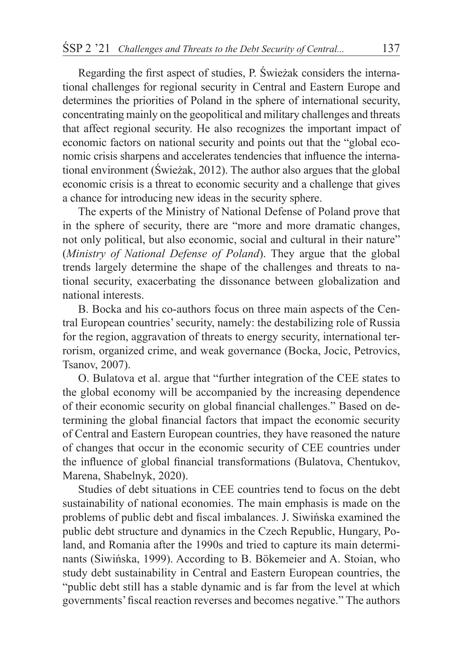Regarding the first aspect of studies, P. Świeżak considers the international challenges for regional security in Central and Eastern Europe and determines the priorities of Poland in the sphere of international security, concentrating mainly on the geopolitical and military challenges and threats that affect regional security. He also recognizes the important impact of economic factors on national security and points out that the "global economic crisis sharpens and accelerates tendencies that influence the international environment (Świeżak, 2012). The author also argues that the global economic crisis is a threat to economic security and a challenge that gives a chance for introducing new ideas in the security sphere.

The experts of the Ministry of National Defense of Poland prove that in the sphere of security, there are "more and more dramatic changes, not only political, but also economic, social and cultural in their nature" (*Ministry of National Defense of Poland*). They argue that the global trends largely determine the shape of the challenges and threats to national security, exacerbating the dissonance between globalization and national interests.

B. Bocka and his co-authors focus on three main aspects of the Central European countries' security, namely: the destabilizing role of Russia for the region, aggravation of threats to energy security, international terrorism, organized crime, and weak governance (Bocka, Jocic, Petrovics, Tsanov, 2007).

O. Bulatova et al. argue that "further integration of the CEE states to the global economy will be accompanied by the increasing dependence of their economic security on global financial challenges." Based on determining the global financial factors that impact the economic security of Central and Eastern European countries, they have reasoned the nature of changes that occur in the economic security of CEE countries under the influence of global financial transformations (Bulatova, Chentukov, Marena, Shabelnyk, 2020).

Studies of debt situations in CEE countries tend to focus on the debt sustainability of national economies. The main emphasis is made on the problems of public debt and fiscal imbalances. J. Siwińska examined the public debt structure and dynamics in the Czech Republic, Hungary, Poland, and Romania after the 1990s and tried to capture its main determinants (Siwińska, 1999). According to B. Bökemeier and A. Stoian, who study debt sustainability in Central and Eastern European countries, the "public debt still has a stable dynamic and is far from the level at which governments' fiscal reaction reverses and becomes negative." The authors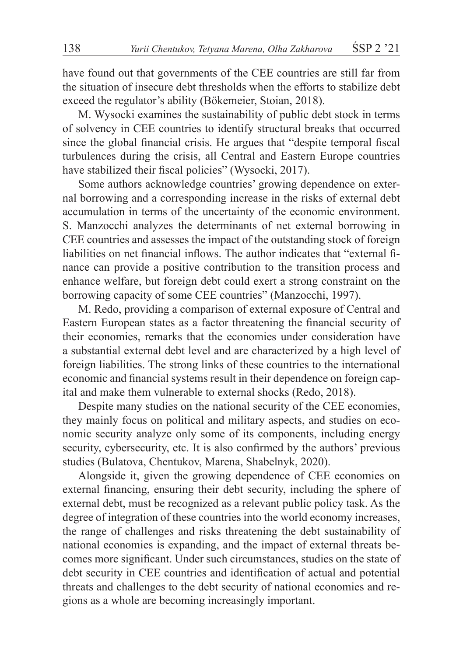have found out that governments of the CEE countries are still far from the situation of insecure debt thresholds when the efforts to stabilize debt exceed the regulator's ability (Bökemeier, Stoian, 2018).

M. Wysocki examines the sustainability of public debt stock in terms of solvency in CEE countries to identify structural breaks that occurred since the global financial crisis. He argues that "despite temporal fiscal turbulences during the crisis, all Central and Eastern Europe countries have stabilized their fiscal policies" (Wysocki, 2017).

Some authors acknowledge countries' growing dependence on external borrowing and a corresponding increase in the risks of external debt accumulation in terms of the uncertainty of the economic environment. S. Manzocchi analyzes the determinants of net external borrowing in CEE countries and assesses the impact of the outstanding stock of foreign liabilities on net financial inflows. The author indicates that "external finance can provide a positive contribution to the transition process and enhance welfare, but foreign debt could exert a strong constraint on the borrowing capacity of some CEE countries" (Manzocchi, 1997).

M. Redo, providing a comparison of external exposure of Central and Eastern European states as a factor threatening the financial security of their economies, remarks that the economies under consideration have a substantial external debt level and are characterized by a high level of foreign liabilities. The strong links of these countries to the international economic and financial systems result in their dependence on foreign capital and make them vulnerable to external shocks (Redo, 2018).

Despite many studies on the national security of the CEE economies, they mainly focus on political and military aspects, and studies on economic security analyze only some of its components, including energy security, cybersecurity, etc. It is also confirmed by the authors' previous studies (Bulatova, Chentukov, Marena, Shabelnyk, 2020).

Alongside it, given the growing dependence of CEE economies on external financing, ensuring their debt security, including the sphere of external debt, must be recognized as a relevant public policy task. As the degree of integration of these countries into the world economy increases, the range of challenges and risks threatening the debt sustainability of national economies is expanding, and the impact of external threats becomes more significant. Under such circumstances, studies on the state of debt security in CEE countries and identification of actual and potential threats and challenges to the debt security of national economies and regions as a whole are becoming increasingly important.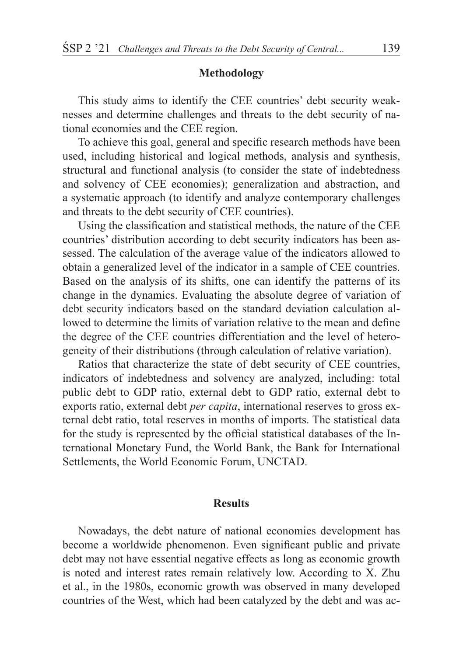#### **Methodology**

This study aims to identify the CEE countries' debt security weaknesses and determine challenges and threats to the debt security of national economies and the CEE region.

To achieve this goal, general and specific research methods have been used, including historical and logical methods, analysis and synthesis, structural and functional analysis (to consider the state of indebtedness and solvency of CEE economies); generalization and abstraction, and a systematic approach (to identify and analyze contemporary challenges and threats to the debt security of CEE countries).

Using the classification and statistical methods, the nature of the CEE countries' distribution according to debt security indicators has been assessed. The calculation of the average value of the indicators allowed to obtain a generalized level of the indicator in a sample of CEE countries. Based on the analysis of its shifts, one can identify the patterns of its change in the dynamics. Evaluating the absolute degree of variation of debt security indicators based on the standard deviation calculation allowed to determine the limits of variation relative to the mean and define the degree of the CEE countries differentiation and the level of heterogeneity of their distributions (through calculation of relative variation).

Ratios that characterize the state of debt security of CEE countries, indicators of indebtedness and solvency are analyzed, including: total public debt to GDP ratio, external debt to GDP ratio, external debt to exports ratio, external debt *per capita*, international reserves to gross external debt ratio, total reserves in months of imports. The statistical data for the study is represented by the official statistical databases of the International Monetary Fund, the World Bank, the Bank for International Settlements, the World Economic Forum, UNCTAD.

#### **Results**

Nowadays, the debt nature of national economies development has become a worldwide phenomenon. Even significant public and private debt may not have essential negative effects as long as economic growth is noted and interest rates remain relatively low. According to X. Zhu et al., in the 1980s, economic growth was observed in many developed countries of the West, which had been catalyzed by the debt and was ac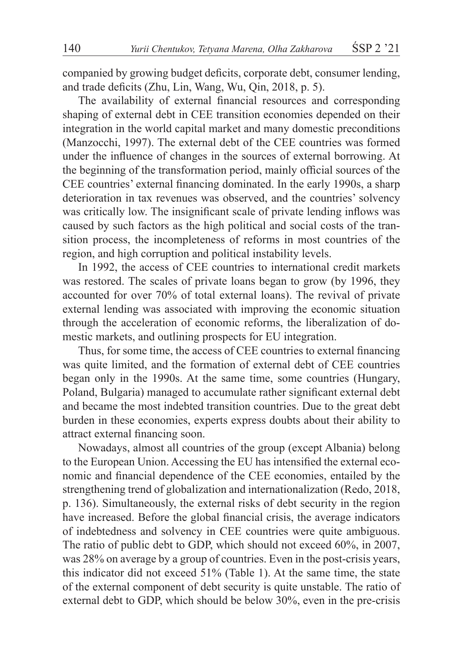companied by growing budget deficits, corporate debt, consumer lending, and trade deficits (Zhu, Lin, Wang, Wu, Qin, 2018, p. 5).

The availability of external financial resources and corresponding shaping of external debt in CEE transition economies depended on their integration in the world capital market and many domestic preconditions (Manzocchi, 1997). The external debt of the CEE countries was formed under the influence of changes in the sources of external borrowing. At the beginning of the transformation period, mainly official sources of the CEE countries' external financing dominated. In the early 1990s, a sharp deterioration in tax revenues was observed, and the countries' solvency was critically low. The insignificant scale of private lending inflows was caused by such factors as the high political and social costs of the transition process, the incompleteness of reforms in most countries of the region, and high corruption and political instability levels.

In 1992, the access of CEE countries to international credit markets was restored. The scales of private loans began to grow (by 1996, they accounted for over 70% of total external loans). The revival of private external lending was associated with improving the economic situation through the acceleration of economic reforms, the liberalization of domestic markets, and outlining prospects for EU integration.

Thus, for some time, the access of CEE countries to external financing was quite limited, and the formation of external debt of CEE countries began only in the 1990s. At the same time, some countries (Hungary, Poland, Bulgaria) managed to accumulate rather significant external debt and became the most indebted transition countries. Due to the great debt burden in these economies, experts express doubts about their ability to attract external financing soon.

Nowadays, almost all countries of the group (except Albania) belong to the European Union. Accessing the EU has intensified the external economic and financial dependence of the CEE economies, entailed by the strengthening trend of globalization and internationalization (Redo, 2018, p. 136). Simultaneously, the external risks of debt security in the region have increased. Before the global financial crisis, the average indicators of indebtedness and solvency in CEE countries were quite ambiguous. The ratio of public debt to GDP, which should not exceed 60%, in 2007, was 28% on average by a group of countries. Even in the post-crisis years, this indicator did not exceed 51% (Table 1). At the same time, the state of the external component of debt security is quite unstable. The ratio of external debt to GDP, which should be below 30%, even in the pre-crisis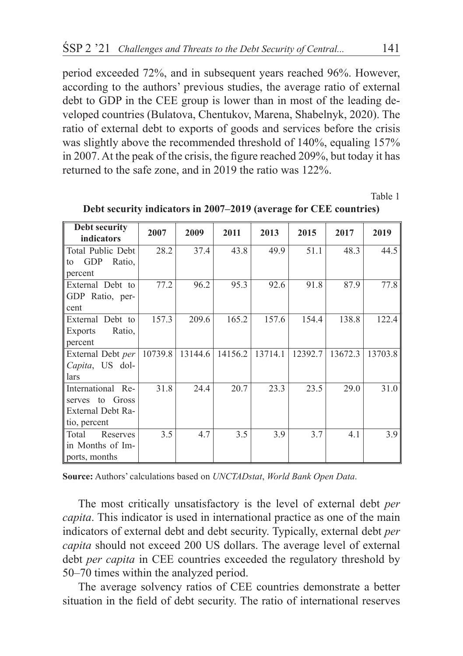period exceeded 72%, and in subsequent years reached 96%. However, according to the authors' previous studies, the average ratio of external debt to GDP in the CEE group is lower than in most of the leading developed countries (Bulatova, Chentukov, Marena, Shabelnyk, 2020). The ratio of external debt to exports of goods and services before the crisis was slightly above the recommended threshold of 140%, equaling 157% in 2007. At the peak of the crisis, the figure reached 209%, but today it has returned to the safe zone, and in 2019 the ratio was 122%.

| Debt security       | 2007    | 2009    | 2011    | 2013    | 2015    | 2017    | 2019    |
|---------------------|---------|---------|---------|---------|---------|---------|---------|
| indicators          |         |         |         |         |         |         |         |
| Total Public Debt   | 28.2    | 37.4    | 43.8    | 49.9    | 51.1    | 48.3    | 44.5    |
| GDP<br>Ratio,<br>to |         |         |         |         |         |         |         |
| percent             |         |         |         |         |         |         |         |
| External Debt to    | 77.2    | 96.2    | 95.3    | 92.6    | 91.8    | 87.9    | 77.8    |
| GDP Ratio, per-     |         |         |         |         |         |         |         |
| cent                |         |         |         |         |         |         |         |
| External<br>Debt to | 157.3   | 209.6   | 165.2   | 157.6   | 154.4   | 138.8   | 122.4   |
| Ratio.<br>Exports   |         |         |         |         |         |         |         |
| percent             |         |         |         |         |         |         |         |
| External Debt per   | 10739.8 | 13144.6 | 14156.2 | 13714.1 | 12392.7 | 13672.3 | 13703.8 |
| Capita, US dol-     |         |         |         |         |         |         |         |
| lars                |         |         |         |         |         |         |         |
| International Re-   | 31.8    | 24.4    | 20.7    | 23.3    | 23.5    | 29.0    | 31.0    |
| serves to Gross     |         |         |         |         |         |         |         |
| External Debt Ra-   |         |         |         |         |         |         |         |
| tio, percent        |         |         |         |         |         |         |         |
| Total<br>Reserves   | 3.5     | 4.7     | 3.5     | 3.9     | 3.7     | 4.1     | 3.9     |
| in Months of Im-    |         |         |         |         |         |         |         |
| ports, months       |         |         |         |         |         |         |         |

**Debt security indicators in 2007–2019 (average for CEE countries)**

**Source:** Authors' calculations based on *UNCTADstat*, *World Bank Open Data*.

The most critically unsatisfactory is the level of external debt *per capita*. This indicator is used in international practice as one of the main indicators of external debt and debt security. Typically, external debt *per capita* should not exceed 200 US dollars. The average level of external debt *per capita* in CEE countries exceeded the regulatory threshold by 50–70 times within the analyzed period.

The average solvency ratios of CEE countries demonstrate a better situation in the field of debt security. The ratio of international reserves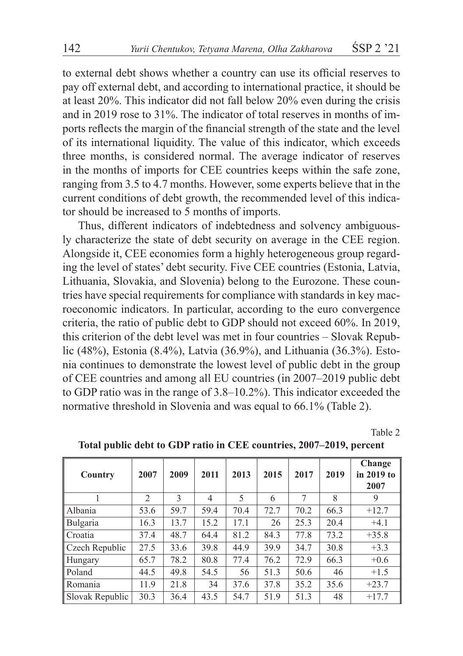to external debt shows whether a country can use its official reserves to pay off external debt, and according to international practice, it should be at least 20%. This indicator did not fall below 20% even during the crisis and in 2019 rose to 31%. The indicator of total reserves in months of imports reflects the margin of the financial strength of the state and the level of its international liquidity. The value of this indicator, which exceeds three months, is considered normal. The average indicator of reserves in the months of imports for CEE countries keeps within the safe zone, ranging from 3.5 to 4.7 months. However, some experts believe that in the current conditions of debt growth, the recommended level of this indicator should be increased to 5 months of imports.

Thus, different indicators of indebtedness and solvency ambiguously characterize the state of debt security on average in the CEE region. Alongside it, CEE economies form a highly heterogeneous group regarding the level of states' debt security. Five CEE countries (Estonia, Latvia, Lithuania, Slovakia, and Slovenia) belong to the Eurozone. These countries have special requirements for compliance with standards in key macroeconomic indicators. In particular, according to the euro convergence criteria, the ratio of public debt to GDP should not exceed 60%. In 2019, this criterion of the debt level was met in four countries – Slovak Republic (48%), Estonia (8.4%), Latvia (36.9%), and Lithuania (36.3%). Estonia continues to demonstrate the lowest level of public debt in the group of CEE countries and among all EU countries (in 2007–2019 public debt to GDP ratio was in the range of 3.8–10.2%). This indicator exceeded the normative threshold in Slovenia and was equal to 66.1% (Table 2).

Table 2

| Country         | 2007                     | 2009          | 2011 | 2013 | 2015 | 2017   | 2019 | Change<br>in 2019 to<br>2007 |
|-----------------|--------------------------|---------------|------|------|------|--------|------|------------------------------|
|                 | $\mathfrak{D}_{1}^{(1)}$ | $\mathcal{E}$ | 4    | 5    | 6    | $\tau$ | 8    | 9                            |
| Albania         | 53.6                     | 59.7          | 59.4 | 70.4 | 72.7 | 70.2   | 66.3 | $+12.7$                      |
| Bulgaria        | 16.3                     | 13.7          | 15.2 | 17.1 | 26   | 25.3   | 20.4 | $+4.1$                       |
| Croatia         | 37.4                     | 48.7          | 64.4 | 81.2 | 84.3 | 77.8   | 73.2 | $+35.8$                      |
| Czech Republic  | 27.5                     | 33.6          | 39.8 | 44.9 | 39.9 | 34.7   | 30.8 | $+3.3$                       |
| Hungary         | 65.7                     | 78.2          | 80.8 | 77.4 | 76.2 | 72.9   | 66.3 | $+0.6$                       |
| Poland          | 44.5                     | 49.8          | 54.5 | 56   | 51.3 | 50.6   | 46   | $+1.5$                       |
| Romania         | 11.9                     | 21.8          | 34   | 37.6 | 37.8 | 35.2   | 35.6 | $+23.7$                      |
| Slovak Republic | 30.3                     | 36.4          | 43.5 | 54.7 | 51.9 | 51.3   | 48   | $+17.7$                      |

**Total public debt to GDP ratio in CEE countries, 2007–2019, percent**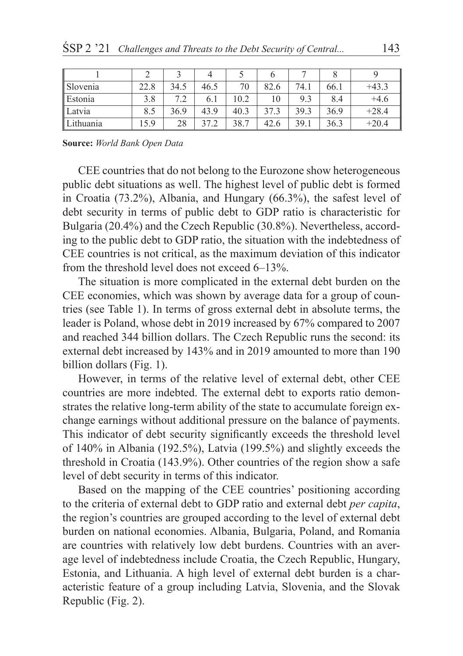| Slovenia  | 22.8 | 34.5 | 46.5 | 70   | 82.6 | 74.1 | 66.1 | $+43.3$ |
|-----------|------|------|------|------|------|------|------|---------|
| Estonia   | 3.8  | 79   | 6.1  | 10.2 | 10   | 9.3  | 8.4  | $+4.6$  |
| Latvia    | 8.5  | 36.9 | 43.9 | 40.3 | 37.3 | 39.3 | 36.9 | $+28.4$ |
| Lithuania | 5.9  | 28   | 272  | 38.7 | 42.6 | 39.1 | 36.3 | $+20.4$ |

**Source:** *World Bank Open Data*

CEE countries that do not belong to the Eurozone show heterogeneous public debt situations as well. The highest level of public debt is formed in Croatia (73.2%), Albania, and Hungary (66.3%), the safest level of debt security in terms of public debt to GDP ratio is characteristic for Bulgaria (20.4%) and the Czech Republic (30.8%). Nevertheless, according to the public debt to GDP ratio, the situation with the indebtedness of CEE countries is not critical, as the maximum deviation of this indicator from the threshold level does not exceed 6–13%.

The situation is more complicated in the external debt burden on the CEE economies, which was shown by average data for a group of countries (see Table 1). In terms of gross external debt in absolute terms, the leader is Poland, whose debt in 2019 increased by 67% compared to 2007 and reached 344 billion dollars. The Czech Republic runs the second: its external debt increased by 143% and in 2019 amounted to more than 190 billion dollars (Fig. 1).

However, in terms of the relative level of external debt, other CEE countries are more indebted. The external debt to exports ratio demonstrates the relative long-term ability of the state to accumulate foreign exchange earnings without additional pressure on the balance of payments. This indicator of debt security significantly exceeds the threshold level of 140% in Albania (192.5%), Latvia (199.5%) and slightly exceeds the threshold in Croatia (143.9%). Other countries of the region show a safe level of debt security in terms of this indicator.

Based on the mapping of the CEE countries' positioning according to the criteria of external debt to GDP ratio and external debt *per capita*, the region's countries are grouped according to the level of external debt burden on national economies. Albania, Bulgaria, Poland, and Romania are countries with relatively low debt burdens. Countries with an average level of indebtedness include Croatia, the Czech Republic, Hungary, Estonia, and Lithuania. A high level of external debt burden is a characteristic feature of a group including Latvia, Slovenia, and the Slovak Republic (Fig. 2).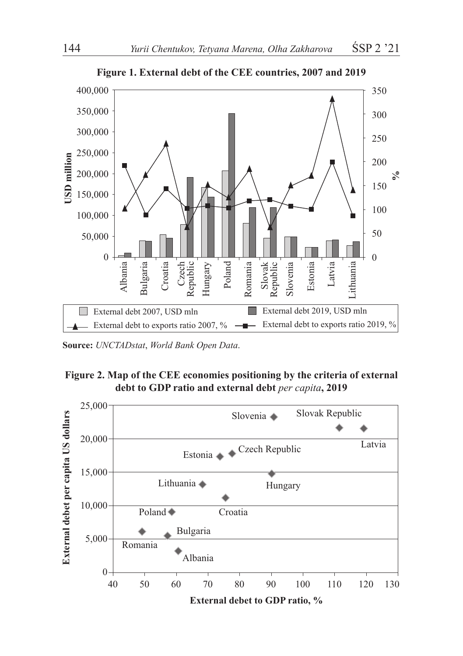

**Figure 1. External debt of the CEE countries, 2007 and 2019**

**Source:** *UNCTADstat*, *World Bank Open Data*.



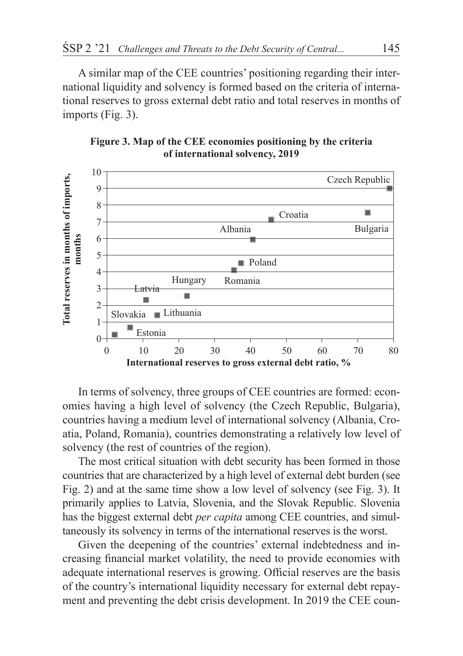A similar map of the CEE countries' positioning regarding their international liquidity and solvency is formed based on the criteria of international reserves to gross external debt ratio and total reserves in months of imports (Fig. 3).





In terms of solvency, three groups of CEE countries are formed: economies having a high level of solvency (the Czech Republic, Bulgaria), countries having a medium level of international solvency (Albania, Croatia, Poland, Romania), countries demonstrating a relatively low level of solvency (the rest of countries of the region).

The most critical situation with debt security has been formed in those countries that are characterized by a high level of external debt burden (see Fig. 2) and at the same time show a low level of solvency (see Fig. 3). It primarily applies to Latvia, Slovenia, and the Slovak Republic. Slovenia has the biggest external debt *per capita* among CEE countries, and simultaneously its solvency in terms of the international reserves is the worst.

Given the deepening of the countries' external indebtedness and increasing financial market volatility, the need to provide economies with adequate international reserves is growing. Official reserves are the basis of the country's international liquidity necessary for external debt repayment and preventing the debt crisis development. In 2019 the CEE coun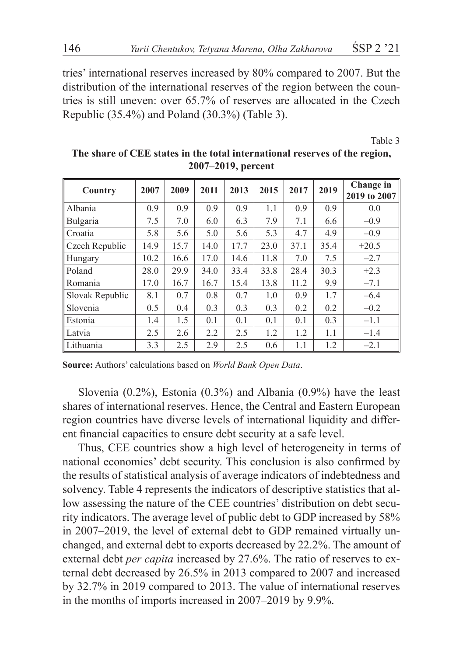tries' international reserves increased by 80% compared to 2007. But the distribution of the international reserves of the region between the countries is still uneven: over 65.7% of reserves are allocated in the Czech Republic (35.4%) and Poland (30.3%) (Table 3).

Table 3

| Country         | 2007 | 2009 | 2011 | 2013 | 2015 | 2017 | 2019 | Change in<br>2019 to 2007 |
|-----------------|------|------|------|------|------|------|------|---------------------------|
| Albania         | 0.9  | 0.9  | 0.9  | 0.9  | 1.1  | 0.9  | 0.9  | 0.0                       |
| Bulgaria        | 7.5  | 7.0  | 6.0  | 6.3  | 7.9  | 7.1  | 6.6  | $-0.9$                    |
| l Croatia       | 5.8  | 5.6  | 5.0  | 5.6  | 5.3  | 4.7  | 4.9  | $-0.9$                    |
| Czech Republic  | 14.9 | 15.7 | 14.0 | 17.7 | 23.0 | 37.1 | 35.4 | $+20.5$                   |
| <b>Hungary</b>  | 10.2 | 16.6 | 17.0 | 14.6 | 11.8 | 7.0  | 7.5  | $-2.7$                    |
| Poland          | 28.0 | 29.9 | 34.0 | 33.4 | 33.8 | 28.4 | 30.3 | $+2.3$                    |
| Romania         | 17.0 | 16.7 | 16.7 | 15.4 | 13.8 | 11.2 | 9.9  | $-7.1$                    |
| Slovak Republic | 8.1  | 0.7  | 0.8  | 0.7  | 1.0  | 0.9  | 1.7  | $-6.4$                    |
| Slovenia        | 0.5  | 0.4  | 0.3  | 0.3  | 0.3  | 0.2  | 0.2  | $-0.2$                    |
| Estonia         | 1.4  | 1.5  | 0.1  | 0.1  | 0.1  | 0.1  | 0.3  | $-1.1$                    |
| Latvia          | 2.5  | 2.6  | 2.2  | 2.5  | 1.2  | 1.2  | 1.1  | $-1.4$                    |
| Lithuania       | 3.3  | 2.5  | 2.9  | 2.5  | 0.6  | 1.1  | 1.2  | $-2.1$                    |

**The share of CEE states in the total international reserves of the region, 2007–2019, percent**

**Source:** Authors' calculations based on *World Bank Open Data*.

Slovenia (0.2%), Estonia (0.3%) and Albania (0.9%) have the least shares of international reserves. Hence, the Central and Eastern European region countries have diverse levels of international liquidity and different financial capacities to ensure debt security at a safe level.

Thus, CEE countries show a high level of heterogeneity in terms of national economies' debt security. This conclusion is also confirmed by the results of statistical analysis of average indicators of indebtedness and solvency. Table 4 represents the indicators of descriptive statistics that allow assessing the nature of the CEE countries' distribution on debt security indicators. The average level of public debt to GDP increased by 58% in 2007–2019, the level of external debt to GDP remained virtually unchanged, and external debt to exports decreased by 22.2%. The amount of external debt *per capita* increased by 27.6%. The ratio of reserves to external debt decreased by 26.5% in 2013 compared to 2007 and increased by 32.7% in 2019 compared to 2013. The value of international reserves in the months of imports increased in 2007–2019 by 9.9%.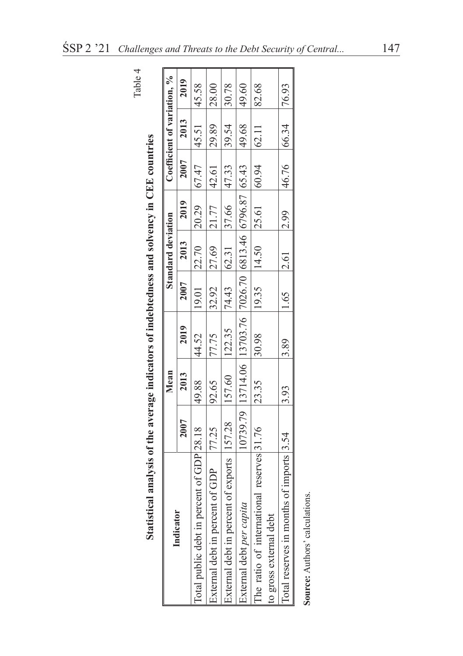|                                                                                          |      | Mean  |                                                                       |      | Standard deviation            |                                                                                                                                  |              | Coefficient of variation, % |       |
|------------------------------------------------------------------------------------------|------|-------|-----------------------------------------------------------------------|------|-------------------------------|----------------------------------------------------------------------------------------------------------------------------------|--------------|-----------------------------|-------|
| Indicator                                                                                | 2007 | 2013  | 2019                                                                  | 2007 | 2013                          | 2019                                                                                                                             | 2007         | 2013                        | 2019  |
| Total public debt in percent of GDP 28.18                                                |      | 88.66 | 44.52                                                                 |      |                               | $19.01$   22.70   20.29   67.47   45.51                                                                                          |              |                             | 45.58 |
| External debt in percent of GDP 77.25                                                    |      | 92.65 | 77.75                                                                 |      | $ 32.92 $ $ 27.69 $ $ 21.77 $ |                                                                                                                                  | 42.61  29.89 |                             | 28.00 |
| External debt in percent of exports  157.28  157.60  122.35  74.43  62.31   37.66  47.33 |      |       |                                                                       |      |                               |                                                                                                                                  |              | 39.54                       | 30.78 |
| External debt per capita                                                                 |      |       | 10739.79  13714.06  13703.76  7026.70  6813.46  6796.87  65.43  49.68 |      |                               |                                                                                                                                  |              |                             | 49.60 |
| The ratio of international reserves 31.76                                                |      | 23.35 | 30.98                                                                 |      |                               | $\begin{array}{ c c c c c c c c } \hline 19.35 & \text{14.50} & \text{25.61} & \text{60.94} & \text{62.11} \ \hline \end{array}$ |              |                             | 82.68 |
| to gross external debt                                                                   |      |       |                                                                       |      |                               |                                                                                                                                  |              |                             |       |
| Total reserves in months of imports $ 3.54 $ $ 3.93 $ $ 3.89 $                           |      |       |                                                                       |      |                               | $ 1.65 $ $ 2.61 $ $ 46.76 $ $ 66.34 $ $ 76.93 $                                                                                  |              |                             |       |
| <b>Source:</b> Authors' calculations                                                     |      |       |                                                                       |      |                               |                                                                                                                                  |              |                             |       |

Table 4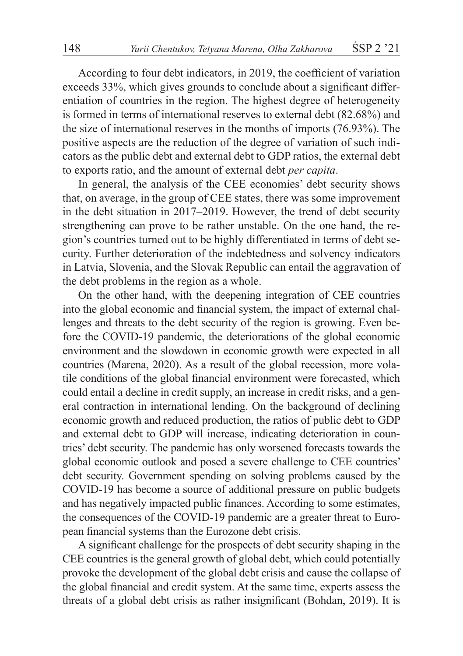According to four debt indicators, in 2019, the coefficient of variation exceeds 33%, which gives grounds to conclude about a significant differentiation of countries in the region. The highest degree of heterogeneity is formed in terms of international reserves to external debt (82.68%) and the size of international reserves in the months of imports (76.93%). The positive aspects are the reduction of the degree of variation of such indicators as the public debt and external debt to GDP ratios, the external debt to exports ratio, and the amount of external debt *per capita*.

In general, the analysis of the CEE economies' debt security shows that, on average, in the group of CEE states, there was some improvement in the debt situation in 2017–2019. However, the trend of debt security strengthening can prove to be rather unstable. On the one hand, the region's countries turned out to be highly differentiated in terms of debt security. Further deterioration of the indebtedness and solvency indicators in Latvia, Slovenia, and the Slovak Republic can entail the aggravation of the debt problems in the region as a whole.

On the other hand, with the deepening integration of CEE countries into the global economic and financial system, the impact of external challenges and threats to the debt security of the region is growing. Even before the COVID-19 pandemic, the deteriorations of the global economic environment and the slowdown in economic growth were expected in all countries (Marena, 2020). As a result of the global recession, more volatile conditions of the global financial environment were forecasted, which could entail a decline in credit supply, an increase in credit risks, and a general contraction in international lending. On the background of declining economic growth and reduced production, the ratios of public debt to GDP and external debt to GDP will increase, indicating deterioration in countries' debt security. The pandemic has only worsened forecasts towards the global economic outlook and posed a severe challenge to CEE countries' debt security. Government spending on solving problems caused by the COVID-19 has become a source of additional pressure on public budgets and has negatively impacted public finances. According to some estimates, the consequences of the COVID-19 pandemic are a greater threat to European financial systems than the Eurozone debt crisis.

A significant challenge for the prospects of debt security shaping in the CEE countries is the general growth of global debt, which could potentially provoke the development of the global debt crisis and cause the collapse of the global financial and credit system. At the same time, experts assess the threats of a global debt crisis as rather insignificant (Bohdan, 2019). It is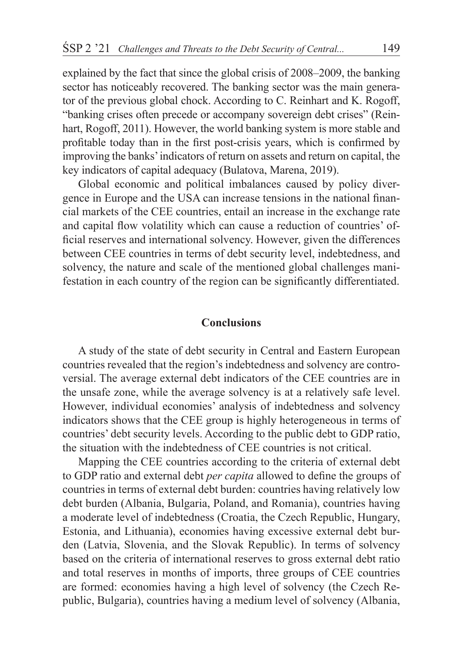explained by the fact that since the global crisis of 2008–2009, the banking sector has noticeably recovered. The banking sector was the main generator of the previous global chock. According to C. Reinhart and K. Rogoff, "banking crises often precede or accompany sovereign debt crises" (Reinhart, Rogoff, 2011). However, the world banking system is more stable and profitable today than in the first post-crisis years, which is confirmed by improving the banks' indicators of return on assets and return on capital, the key indicators of capital adequacy (Bulatova, Marena, 2019).

Global economic and political imbalances caused by policy divergence in Europe and the USA can increase tensions in the national financial markets of the CEE countries, entail an increase in the exchange rate and capital flow volatility which can cause a reduction of countries' official reserves and international solvency. However, given the differences between CEE countries in terms of debt security level, indebtedness, and solvency, the nature and scale of the mentioned global challenges manifestation in each country of the region can be significantly differentiated.

#### **Conclusions**

A study of the state of debt security in Central and Eastern European countries revealed that the region's indebtedness and solvency are controversial. The average external debt indicators of the CEE countries are in the unsafe zone, while the average solvency is at a relatively safe level. However, individual economies' analysis of indebtedness and solvency indicators shows that the CEE group is highly heterogeneous in terms of countries' debt security levels. According to the public debt to GDP ratio, the situation with the indebtedness of CEE countries is not critical.

Mapping the CEE countries according to the criteria of external debt to GDP ratio and external debt *per capita* allowed to define the groups of countries in terms of external debt burden: countries having relatively low debt burden (Albania, Bulgaria, Poland, and Romania), countries having a moderate level of indebtedness (Croatia, the Czech Republic, Hungary, Estonia, and Lithuania), economies having excessive external debt burden (Latvia, Slovenia, and the Slovak Republic). In terms of solvency based on the criteria of international reserves to gross external debt ratio and total reserves in months of imports, three groups of CEE countries are formed: economies having a high level of solvency (the Czech Republic, Bulgaria), countries having a medium level of solvency (Albania,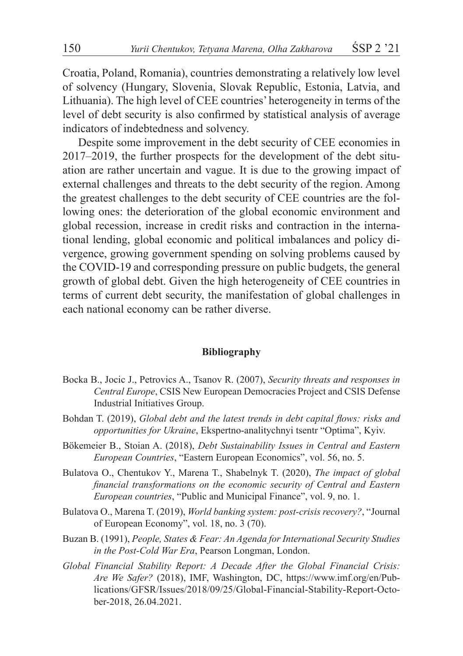Croatia, Poland, Romania), countries demonstrating a relatively low level of solvency (Hungary, Slovenia, Slovak Republic, Estonia, Latvia, and Lithuania). The high level of CEE countries' heterogeneity in terms of the level of debt security is also confirmed by statistical analysis of average indicators of indebtedness and solvency.

Despite some improvement in the debt security of CEE economies in 2017–2019, the further prospects for the development of the debt situation are rather uncertain and vague. It is due to the growing impact of external challenges and threats to the debt security of the region. Among the greatest challenges to the debt security of CEE countries are the following ones: the deterioration of the global economic environment and global recession, increase in credit risks and contraction in the international lending, global economic and political imbalances and policy divergence, growing government spending on solving problems caused by the COVID-19 and corresponding pressure on public budgets, the general growth of global debt. Given the high heterogeneity of CEE countries in terms of current debt security, the manifestation of global challenges in each national economy can be rather diverse.

#### **Bibliography**

- Bocka B., Jocic J., Petrovics A., Tsanov R. (2007), *Security threats and responses in Central Europe*, CSIS New European Democracies Project and CSIS Defense Industrial Initiatives Group.
- Bohdan T. (2019), *Global debt and the latest trends in debt capital flows: risks and opportunities for Ukraine*, Ekspertno-analitychnyi tsentr "Optima", Kyiv.
- Bökemeier B., Stoian A. (2018), *Debt Sustainability Issues in Central and Eastern European Countries*, "Eastern European Economics", vol. 56, no. 5.
- Bulatova O., Chentukov Y., Marena T., Shabelnyk T. (2020), *The impact of global financial transformations on the economic security of Central and Eastern European countries*, "Public and Municipal Finance", vol. 9, no. 1.
- Bulatova O., Marena T. (2019), *World banking system: post-crisis recovery?*, "Journal of European Economy", vol. 18, no. 3 (70).
- Buzan B. (1991), *People, States & Fear: An Agenda for International Security Studies in the Post-Cold War Era*, Pearson Longman, London.
- *Global Financial Stability Report: A Decade After the Global Financial Crisis: Are We Safer?* (2018), IMF, Washington, DC, https://www.imf.org/en/Publications/GFSR/Issues/2018/09/25/Global-Financial-Stability-Report-October-2018, 26.04.2021.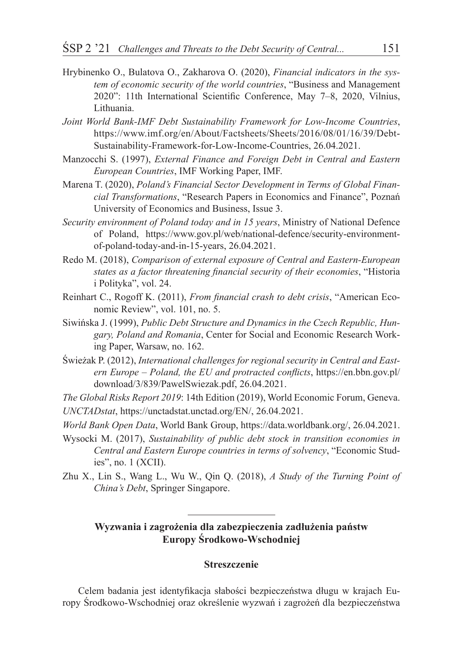- Hrybinenko O., Bulatova O., Zakharova O. (2020), *Financial indicators in the system of economic security of the world countries*, "Business and Management 2020": 11th International Scientific Conference, May 7–8, 2020, Vilnius, Lithuania.
- *Joint World Bank-IMF Debt Sustainability Framework for Low-Income Countries*, https://www.imf.org/en/About/Factsheets/Sheets/2016/08/01/16/39/Debt-Sustainability-Framework-for-Low-Income-Countries, 26.04.2021.
- Manzocchi S. (1997), *External Finance and Foreign Debt in Central and Eastern European Countries*, IMF Working Paper, IMF.
- Marena T. (2020), *Poland's Financial Sector Development in Terms of Global Financial Transformations*, "Research Papers in Economics and Finance", Poznań University of Economics and Business, Issue 3.
- *Security environment of Poland today and in 15 years*, Ministry of National Defence of Poland, https://www.gov.pl/web/national-defence/security-environmentof-poland-today-and-in-15-years, 26.04.2021.
- Redo M. (2018), *Comparison of external exposure of Central and Eastern-European states as a factor threatening financial security of their economies*, "Historia i Polityka", vol. 24.
- Reinhart C., Rogoff K. (2011), *From financial crash to debt crisis*, "American Economic Review", vol. 101, no. 5.
- Siwińska J. (1999), *Public Debt Structure and Dynamics in the Czech Republic, Hungary, Poland and Romania*, Center for Social and Economic Research Working Paper, Warsaw, no. 162.
- Świeżak P. (2012), *International challenges for regional security in Central and Eastern Europe – Poland, the EU and protracted conflicts*, https://en.bbn.gov.pl/ download/3/839/PawelSwiezak.pdf, 26.04.2021.
- *The Global Risks Report 2019*: 14th Edition (2019), World Economic Forum, Geneva. *UNCTADstat*, https://unctadstat.unctad.org/EN/, 26.04.2021.
- *World Bank Open Data*, World Bank Group, https://data.worldbank.org/, 26.04.2021.
- Wysocki M. (2017), *Sustainability of public debt stock in transition economies in Central and Eastern Europe countries in terms of solvency*, "Economic Studies", no. 1 (XCII).
- Zhu X., Lin S., Wang L., Wu W., Qin Q. (2018), *A Study of the Turning Point of China's Debt*, Springer Singapore.

#### **Wyzwania i zagrożenia dla zabezpieczenia zadłużenia państw Europy Środkowo-Wschodniej**

#### **Streszczenie**

Celem badania jest identyfikacja słabości bezpieczeństwa długu w krajach Europy Środkowo-Wschodniej oraz określenie wyzwań i zagrożeń dla bezpieczeństwa